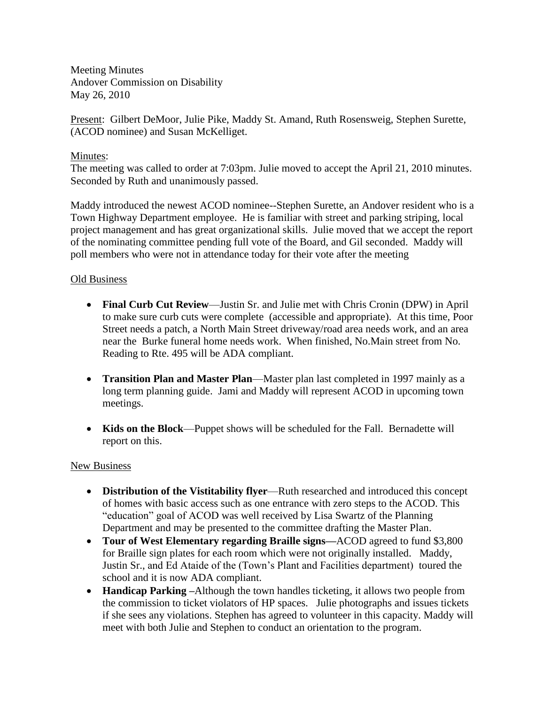Meeting Minutes Andover Commission on Disability May 26, 2010

Present: Gilbert DeMoor, Julie Pike, Maddy St. Amand, Ruth Rosensweig, Stephen Surette, (ACOD nominee) and Susan McKelliget.

## Minutes:

The meeting was called to order at 7:03pm. Julie moved to accept the April 21, 2010 minutes. Seconded by Ruth and unanimously passed.

Maddy introduced the newest ACOD nominee--Stephen Surette, an Andover resident who is a Town Highway Department employee. He is familiar with street and parking striping, local project management and has great organizational skills. Julie moved that we accept the report of the nominating committee pending full vote of the Board, and Gil seconded. Maddy will poll members who were not in attendance today for their vote after the meeting

## Old Business

- **Final Curb Cut Review**—Justin Sr. and Julie met with Chris Cronin (DPW) in April to make sure curb cuts were complete (accessible and appropriate). At this time, Poor Street needs a patch, a North Main Street driveway/road area needs work, and an area near the Burke funeral home needs work. When finished, No.Main street from No. Reading to Rte. 495 will be ADA compliant.
- **Transition Plan and Master Plan**—Master plan last completed in 1997 mainly as a long term planning guide. Jami and Maddy will represent ACOD in upcoming town meetings.
- **Kids on the Block**—Puppet shows will be scheduled for the Fall. Bernadette will report on this.

### New Business

- **Distribution of the Vistitability flyer**—Ruth researched and introduced this concept of homes with basic access such as one entrance with zero steps to the ACOD. This "education" goal of ACOD was well received by Lisa Swartz of the Planning Department and may be presented to the committee drafting the Master Plan.
- **Tour of West Elementary regarding Braille signs—**ACOD agreed to fund \$3,800 for Braille sign plates for each room which were not originally installed. Maddy, Justin Sr., and Ed Ataide of the (Town's Plant and Facilities department) toured the school and it is now ADA compliant.
- **Handicap Parking –**Although the town handles ticketing, it allows two people from the commission to ticket violators of HP spaces. Julie photographs and issues tickets if she sees any violations. Stephen has agreed to volunteer in this capacity. Maddy will meet with both Julie and Stephen to conduct an orientation to the program.